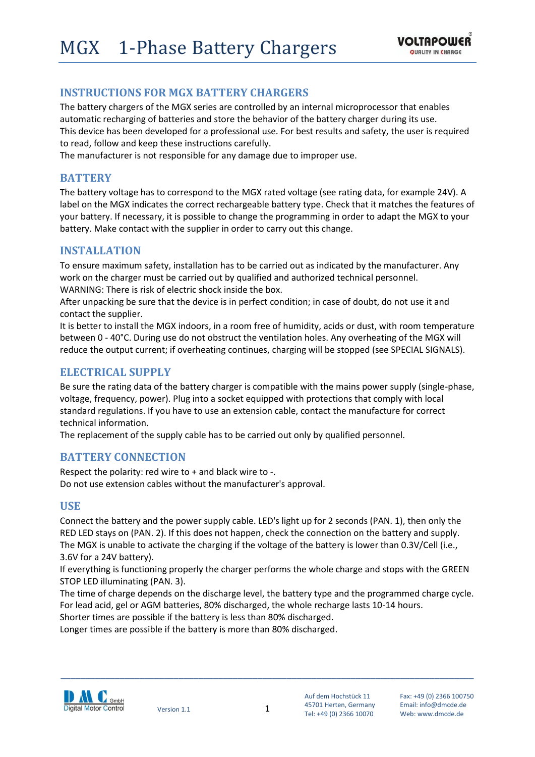# **INSTRUCTIONS FOR MGX BATTERY CHARGERS**

The battery chargers of the MGX series are controlled by an internal microprocessor that enables automatic recharging of batteries and store the behavior of the battery charger during its use. This device has been developed for a professional use. For best results and safety, the user is required to read, follow and keep these instructions carefully.

The manufacturer is not responsible for any damage due to improper use.

## **BATTERY**

The battery voltage has to correspond to the MGX rated voltage (see rating data, for example 24V). A label on the MGX indicates the correct rechargeable battery type. Check that it matches the features of your battery. If necessary, it is possible to change the programming in order to adapt the MGX to your battery. Make contact with the supplier in order to carry out this change.

### **INSTALLATION**

To ensure maximum safety, installation has to be carried out as indicated by the manufacturer. Any work on the charger must be carried out by qualified and authorized technical personnel. WARNING: There is risk of electric shock inside the box.

After unpacking be sure that the device is in perfect condition; in case of doubt, do not use it and contact the supplier.

It is better to install the MGX indoors, in a room free of humidity, acids or dust, with room temperature between 0 - 40°C. During use do not obstruct the ventilation holes. Any overheating of the MGX will reduce the output current; if overheating continues, charging will be stopped (see SPECIAL SIGNALS).

## **ELECTRICAL SUPPLY**

Be sure the rating data of the battery charger is compatible with the mains power supply (single-phase, voltage, frequency, power). Plug into a socket equipped with protections that comply with local standard regulations. If you have to use an extension cable, contact the manufacture for correct technical information.

The replacement of the supply cable has to be carried out only by qualified personnel.

### **BATTERY CONNECTION**

Respect the polarity: red wire to + and black wire to -. Do not use extension cables without the manufacturer's approval.

### **USE**

Connect the battery and the power supply cable. LED's light up for 2 seconds (PAN. 1), then only the RED LED stays on (PAN. 2). If this does not happen, check the connection on the battery and supply. The MGX is unable to activate the charging if the voltage of the battery is lower than 0.3V/Cell (i.e., 3.6V for a 24V battery).

If everything is functioning properly the charger performs the whole charge and stops with the GREEN STOP LED illuminating (PAN. 3).

The time of charge depends on the discharge level, the battery type and the programmed charge cycle. For lead acid, gel or AGM batteries, 80% discharged, the whole recharge lasts 10-14 hours.

Shorter times are possible if the battery is less than 80% discharged.

Longer times are possible if the battery is more than 80% discharged.



\_\_\_\_\_\_\_\_\_\_\_\_\_\_\_\_\_\_\_\_\_\_\_\_\_\_\_\_\_\_\_\_\_\_\_\_\_\_\_\_\_\_\_\_\_\_\_\_\_\_\_\_\_\_\_\_\_\_\_\_\_\_\_\_\_\_\_\_\_\_\_\_\_\_\_\_\_\_\_\_\_\_\_\_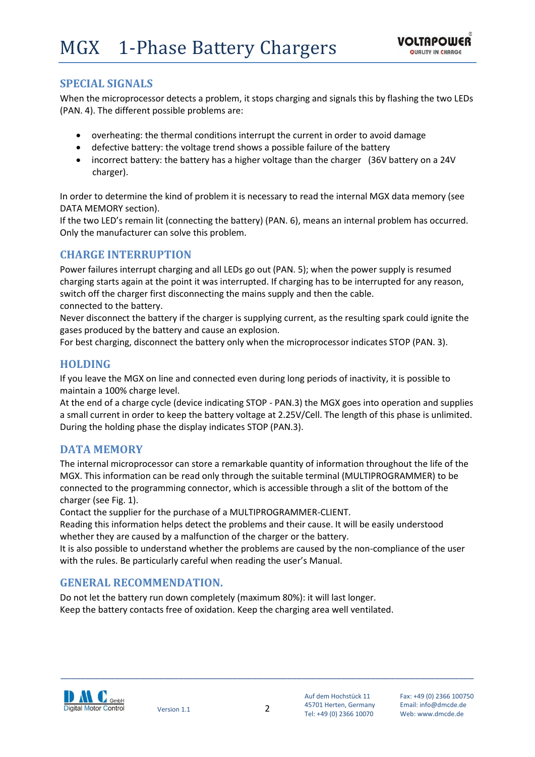## **SPECIAL SIGNALS**

When the microprocessor detects a problem, it stops charging and signals this by flashing the two LEDs (PAN. 4). The different possible problems are:

- overheating: the thermal conditions interrupt the current in order to avoid damage
- defective battery: the voltage trend shows a possible failure of the battery
- incorrect battery: the battery has a higher voltage than the charger (36V battery on a 24V charger).

In order to determine the kind of problem it is necessary to read the internal MGX data memory (see DATA MEMORY section).

If the two LED's remain lit (connecting the battery) (PAN. 6), means an internal problem has occurred. Only the manufacturer can solve this problem.

## **CHARGE INTERRUPTION**

Power failures interrupt charging and all LEDs go out (PAN. 5); when the power supply is resumed charging starts again at the point it was interrupted. If charging has to be interrupted for any reason, switch off the charger first disconnecting the mains supply and then the cable. connected to the battery.

Never disconnect the battery if the charger is supplying current, as the resulting spark could ignite the gases produced by the battery and cause an explosion.

For best charging, disconnect the battery only when the microprocessor indicates STOP (PAN. 3).

## **HOLDING**

If you leave the MGX on line and connected even during long periods of inactivity, it is possible to maintain a 100% charge level.

At the end of a charge cycle (device indicating STOP - PAN.3) the MGX goes into operation and supplies a small current in order to keep the battery voltage at 2.25V/Cell. The length of this phase is unlimited. During the holding phase the display indicates STOP (PAN.3).

## **DATA MEMORY**

The internal microprocessor can store a remarkable quantity of information throughout the life of the MGX. This information can be read only through the suitable terminal (MULTIPROGRAMMER) to be connected to the programming connector, which is accessible through a slit of the bottom of the charger (see Fig. 1).

Contact the supplier for the purchase of a MULTIPROGRAMMER-CLIENT.

Reading this information helps detect the problems and their cause. It will be easily understood whether they are caused by a malfunction of the charger or the battery.

It is also possible to understand whether the problems are caused by the non-compliance of the user with the rules. Be particularly careful when reading the user's Manual.

## **GENERAL RECOMMENDATION.**

Do not let the battery run down completely (maximum 80%): it will last longer. Keep the battery contacts free of oxidation. Keep the charging area well ventilated.



\_\_\_\_\_\_\_\_\_\_\_\_\_\_\_\_\_\_\_\_\_\_\_\_\_\_\_\_\_\_\_\_\_\_\_\_\_\_\_\_\_\_\_\_\_\_\_\_\_\_\_\_\_\_\_\_\_\_\_\_\_\_\_\_\_\_\_\_\_\_\_\_\_\_\_\_\_\_\_\_\_\_\_\_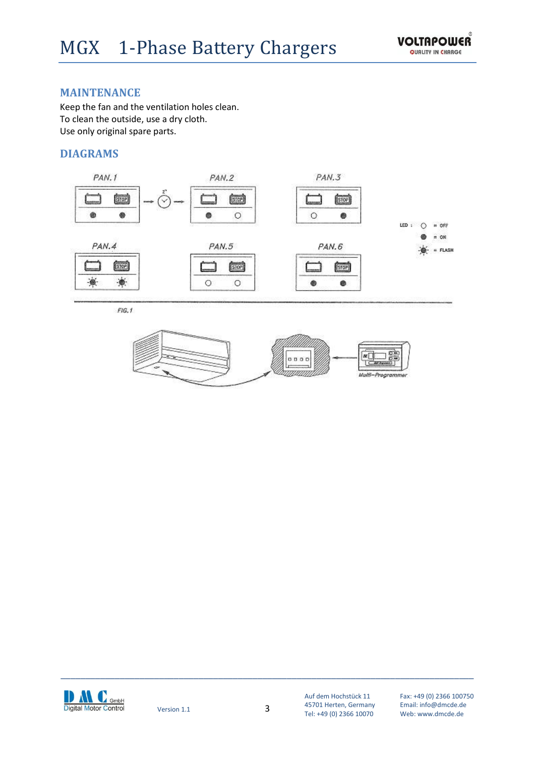### **MAINTENANCE**

Keep the fan and the ventilation holes clean. To clean the outside, use a dry cloth. Use only original spare parts.

### **DIAGRAMS**







Auf dem Hochstück 11 Fax: +49 (0) 2366 100750<br>45701 Herten. Germany Email: info@dmcde.de 45701 Herten, Germany Email: info@dmcde.de Tel: +49 (0) 2366 10070

\_\_\_\_\_\_\_\_\_\_\_\_\_\_\_\_\_\_\_\_\_\_\_\_\_\_\_\_\_\_\_\_\_\_\_\_\_\_\_\_\_\_\_\_\_\_\_\_\_\_\_\_\_\_\_\_\_\_\_\_\_\_\_\_\_\_\_\_\_\_\_\_\_\_\_\_\_\_\_\_\_\_\_\_